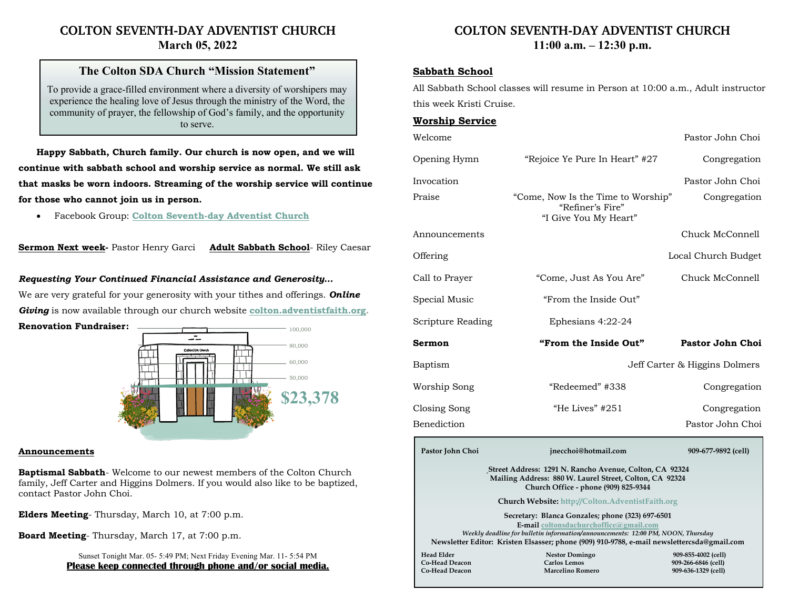# **COLTON SEVENTH-DAY ADVENTIST CHURCH March 05, 2022**

# **The Colton SDA Church "Mission Statement"**

To provide a grace-filled environment where a diversity of worshipers may experience the healing love of Jesus through the ministry of the Word, the community of prayer, the fellowship of God's family, and the opportunity to serve.

**Happy Sabbath, Church family. Our church is now open, and we will continue with sabbath school and worship service as normal. We still ask that masks be worn indoors. Streaming of the worship service will continue for those who cannot join us in person.**

• Facebook Group: **Colton Seventh-day Adventist Church**

**Sermon Next week-** Pastor Henry Garci **Adult Sabbath School**- Riley Caesar

*Requesting Your Continued Financial Assistance and Generosity…* We are very grateful for your generosity with your tithes and offerings. *Online Giving* is now available through our church website **colton.adventistfaith.org.**





#### **Announcements**

**Baptismal Sabbath**- Welcome to our newest members of the Colton Church family, Jeff Carter and Higgins Dolmers. If you would also like to be baptized, contact Pastor John Choi.

**Elders Meeting**- Thursday, March 10, at 7:00 p.m.

**Board Meeting**- Thursday, March 17, at 7:00 p.m.

Sunset Tonight Mar. 05- 5:49 PM; Next Friday Evening Mar. 11- 5:54 PM **Please keep connected through phone and/or social media.**

# **COLTON SEVENTH-DAY ADVENTIST CHURCH 11:00 a.m. – 12:30 p.m.**

#### **Sabbath School**

All Sabbath School classes will resume in Person at 10:00 a.m., Adult instructor this week Kristi Cruise.

#### **Worship Service**

| Welcome           |                                                                                                                                                                                                                                                                                     | Pastor John Choi    |
|-------------------|-------------------------------------------------------------------------------------------------------------------------------------------------------------------------------------------------------------------------------------------------------------------------------------|---------------------|
| Opening Hymn      | "Rejoice Ye Pure In Heart" #27                                                                                                                                                                                                                                                      | Congregation        |
| Invocation        |                                                                                                                                                                                                                                                                                     | Pastor John Choi    |
| Praise            | "Come, Now Is the Time to Worship"<br>"Refiner's Fire"<br>"I Give You My Heart"                                                                                                                                                                                                     | Congregation        |
| Announcements     |                                                                                                                                                                                                                                                                                     | Chuck McConnell     |
| Offering          |                                                                                                                                                                                                                                                                                     | Local Church Budget |
| Call to Prayer    | "Come, Just As You Are"                                                                                                                                                                                                                                                             | Chuck McConnell     |
| Special Music     | "From the Inside Out"                                                                                                                                                                                                                                                               |                     |
| Scripture Reading | Ephesians 4:22-24                                                                                                                                                                                                                                                                   |                     |
| <b>Sermon</b>     | "From the Inside Out"                                                                                                                                                                                                                                                               | Pastor John Choi    |
|                   | Jeff Carter & Higgins Dolmers                                                                                                                                                                                                                                                       |                     |
| Baptism           |                                                                                                                                                                                                                                                                                     |                     |
| Worship Song      | "Redeemed" #338                                                                                                                                                                                                                                                                     | Congregation        |
| Closing Song      | "He Lives" $#251$                                                                                                                                                                                                                                                                   | Congregation        |
| Benediction       |                                                                                                                                                                                                                                                                                     | Pastor John Choi    |
| Pastor John Choi  | jnecchoi@hotmail.com                                                                                                                                                                                                                                                                | 909-677-9892 (cell) |
|                   | Street Address: 1291 N. Rancho Avenue, Colton, CA 92324<br>Mailing Address: 880 W. Laurel Street, Colton, CA 92324<br>Church Office - phone (909) 825-9344                                                                                                                          |                     |
|                   | Church Website: http://Colton.AdventistFaith.org                                                                                                                                                                                                                                    |                     |
|                   | Secretary: Blanca Gonzales; phone (323) 697-6501<br><b>E-mail</b> coltonsdachurchoffice@gmail.com<br>Weekly deadline for bulletin information/announcements: 12:00 PM, NOON, Thursday<br>Newsletter Editor: Kristen Elsasser; phone (909) 910-9788, e-mail newslettercsda@gmail.com |                     |

**Co-Head Deacon Marcelino Romero 909-636-1329 (cell)**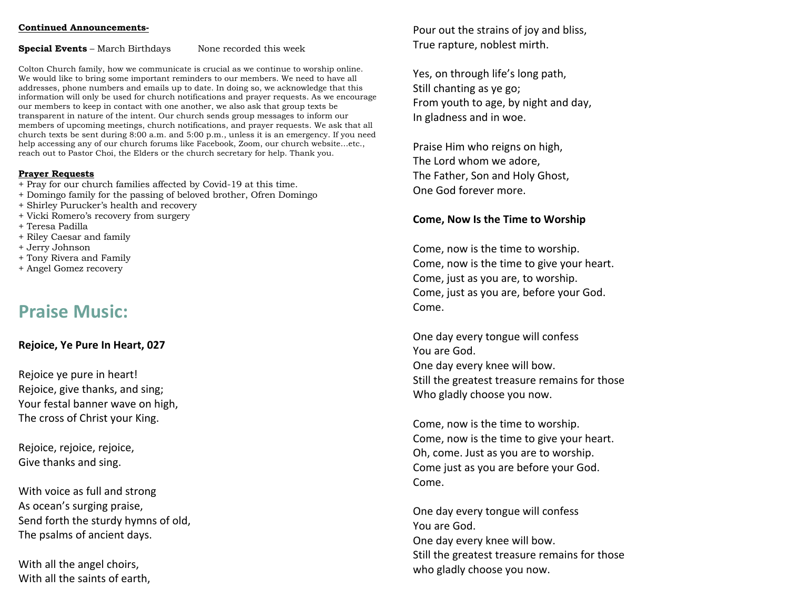#### **Continued Announcements-**

#### **Special Events** – March Birthdays None recorded this week

Colton Church family, how we communicate is crucial as we continue to worship online. We would like to bring some important reminders to our members. We need to have all addresses, phone numbers and emails up to date. In doing so, we acknowledge that this information will only be used for church notifications and prayer requests. As we encourage our members to keep in contact with one another, we also ask that group texts be transparent in nature of the intent. Our church sends group messages to inform our members of upcoming meetings, church notifications, and prayer requests. We ask that all church texts be sent during 8:00 a.m. and 5:00 p.m., unless it is an emergency. If you need help accessing any of our church forums like Facebook, Zoom, our church website…etc., reach out to Pastor Choi, the Elders or the church secretary for help. Thank you.

#### **Prayer Requests**

- + Pray for our church families affected by Covid-19 at this time.
- + Domingo family for the passing of beloved brother, Ofren Domingo
- + Shirley Purucker's health and recovery
- + Vicki Romero's recovery from surgery
- + Teresa Padilla
- + Riley Caesar and family
- + Jerry Johnson
- + Tony Rivera and Family
- + Angel Gomez recovery

# **Praise Music:**

#### **Rejoice, Ye Pure In Heart, 027**

Rejoice ye pure in heart! Rejoice, give thanks, and sing; Your festal banner wave on high, The cross of Christ your King.

Rejoice, rejoice, rejoice, Give thanks and sing.

With voice as full and strong As ocean's surging praise, Send forth the sturdy hymns of old, The psalms of ancient days.

With all the angel choirs, With all the saints of earth, Pour out the strains of joy and bliss, True rapture, noblest mirth.

Yes, on through life's long path, Still chanting as ye go; From youth to age, by night and day, In gladness and in woe.

Praise Him who reigns on high, The Lord whom we adore, The Father, Son and Holy Ghost, One God forever more.

#### **Come, Now Is the Time to Worship**

Come, now is the time to worship. Come, now is the time to give your heart. Come, just as you are, to worship. Come, just as you are, before your God. Come.

One day every tongue will confess You are God. One day every knee will bow. Still the greatest treasure remains for those Who gladly choose you now.

Come, now is the time to worship. Come, now is the time to give your heart. Oh, come. Just as you are to worship. Come just as you are before your God. Come.

One day every tongue will confess You are God. One day every knee will bow. Still the greatest treasure remains for those who gladly choose you now.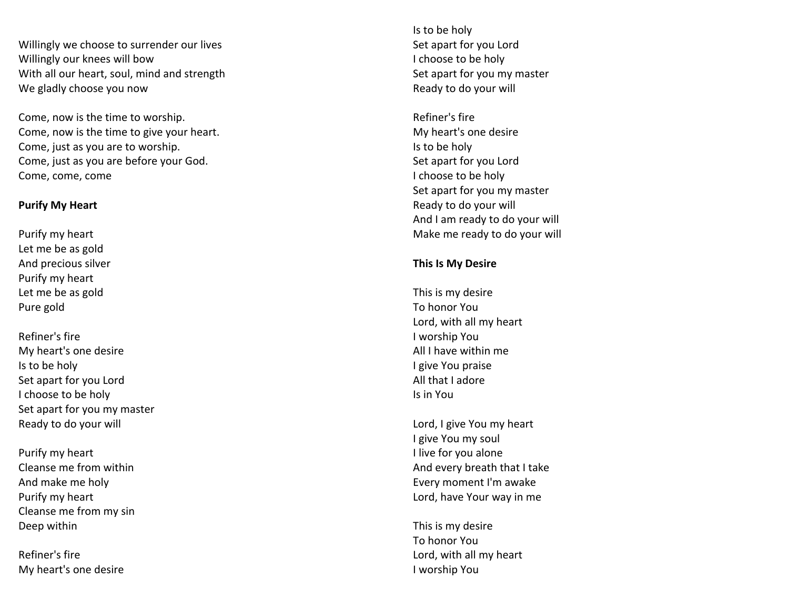Willingly we choose to surrender our lives Willingly our knees will bow With all our heart, soul, mind and strength We gladly choose you now

Come, now is the time to worship. Come, now is the time to give your heart. Come, just as you are to worship. Come, just as you are before your God. Come, come, come

# **Purify My Heart**

Purify my heart Let me be as gold And precious silver Purify my heart Let me be as gold Pure gold

Refiner's fire My heart's one desire Is to be holy Set apart for you Lord I choose to be holy Set apart for you my master Ready to do your will

Purify my heart Cleanse me from within And make me holy Purify my heart Cleanse me from my sin Deep within

Refiner's fire My heart's one desire Is to be holy Set apart for you Lord I choose to be holy Set apart for you my master Ready to do your will

Refiner's fire My heart's one desire Is to be holy Set apart for you Lord I choose to be holy Set apart for you my master Ready to do your will And I am ready to do your will Make me ready to do your will

# **This Is My Desire**

This is my desire To honor You Lord, with all my heart I worship You All I have within me I give You praise All that I adore Is in You

Lord, I give You my heart I give You my soul I live for you alone And every breath that I take Every moment I'm awake Lord, have Your way in me

This is my desire To honor You Lord, with all my heart I worship You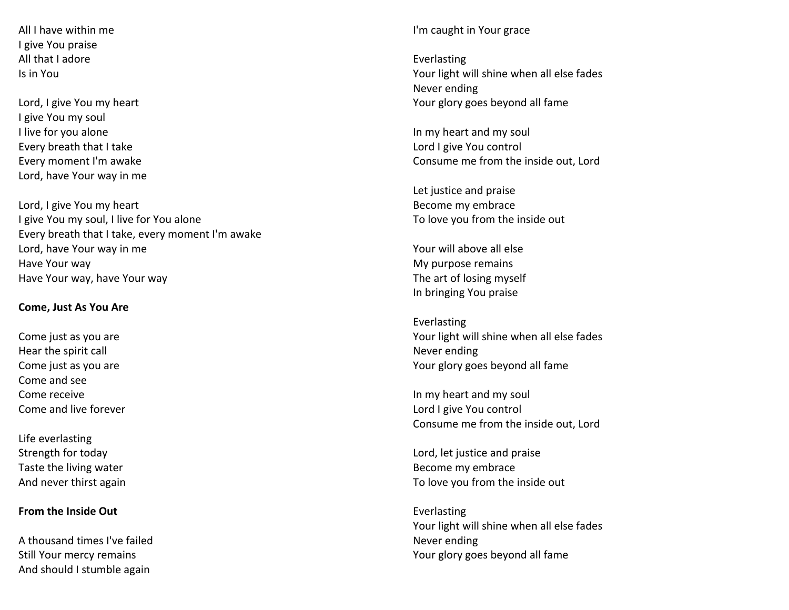All I have within me I give You praise All that I adore Is in You

Lord, I give You my heart I give You my soul I live for you alone Every breath that I take Every moment I'm awake Lord, have Your way in me

Lord, I give You my heart I give You my soul, I live for You alone Every breath that I take, every moment I'm awake Lord, have Your way in me Have Your way Have Your way, have Your way

#### **Come, Just As You Are**

Come just as you are Hear the spirit call Come just as you are Come and see Come receive Come and live forever

Life everlasting Strength for today Taste the living water And never thirst again

## **From the Inside Out**

A thousand times I've failed Still Your mercy remains And should I stumble again

#### I'm caught in Your grace

Everlasting Your light will shine when all else fades Never ending Your glory goes beyond all fame

In my heart and my soul Lord I give You control Consume me from the inside out, Lord

Let justice and praise Become my embrace To love you from the inside out

Your will above all else My purpose remains The art of losing myself In bringing You praise

Everlasting Your light will shine when all else fades Never ending Your glory goes beyond all fame

In my heart and my soul Lord I give You control Consume me from the inside out, Lord

Lord, let justice and praise Become my embrace To love you from the inside out

Everlasting Your light will shine when all else fades Never ending Your glory goes beyond all fame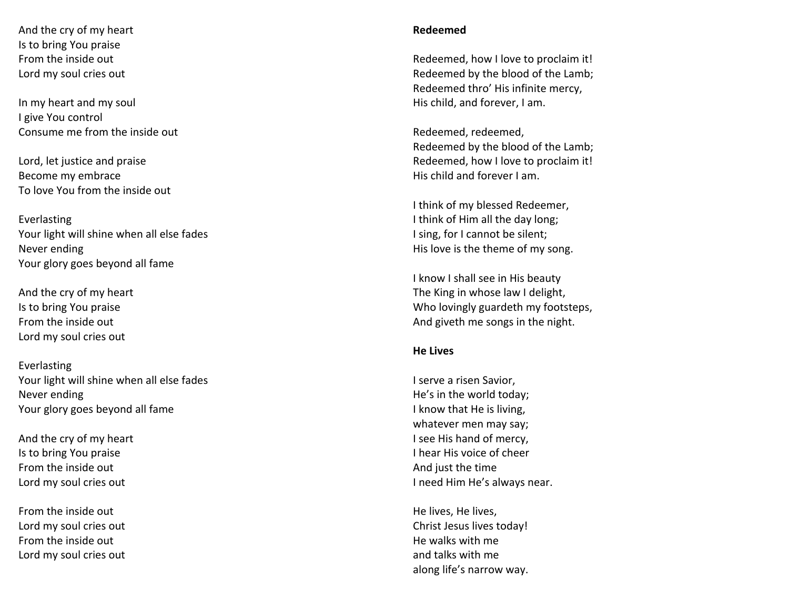And the cry of my heart Is to bring You praise From the inside out Lord my soul cries out

In my heart and my soul I give You control Consume me from the inside out

Lord, let justice and praise Become my embrace To love You from the inside out

Everlasting Your light will shine when all else fades Never ending Your glory goes beyond all fame

And the cry of my heart Is to bring You praise From the inside out Lord my soul cries out

Everlasting Your light will shine when all else fades Never ending Your glory goes beyond all fame

And the cry of my heart Is to bring You praise From the inside out Lord my soul cries out

From the inside out Lord my soul cries out From the inside out Lord my soul cries out

#### **Redeemed**

Redeemed, how I love to proclaim it! Redeemed by the blood of the Lamb; Redeemed thro' His infinite mercy, His child, and forever, I am.

Redeemed, redeemed, Redeemed by the blood of the Lamb; Redeemed, how I love to proclaim it! His child and forever I am.

I think of my blessed Redeemer, I think of Him all the day long; I sing, for I cannot be silent; His love is the theme of my song.

I know I shall see in His beauty The King in whose law I delight, Who lovingly guardeth my footsteps, And giveth me songs in the night.

#### **He Lives**

I serve a risen Savior, He's in the world today; I know that He is living, whatever men may say; I see His hand of mercy, I hear His voice of cheer And just the time I need Him He's always near.

He lives, He lives, Christ Jesus lives today! He walks with me and talks with me along life's narrow way.